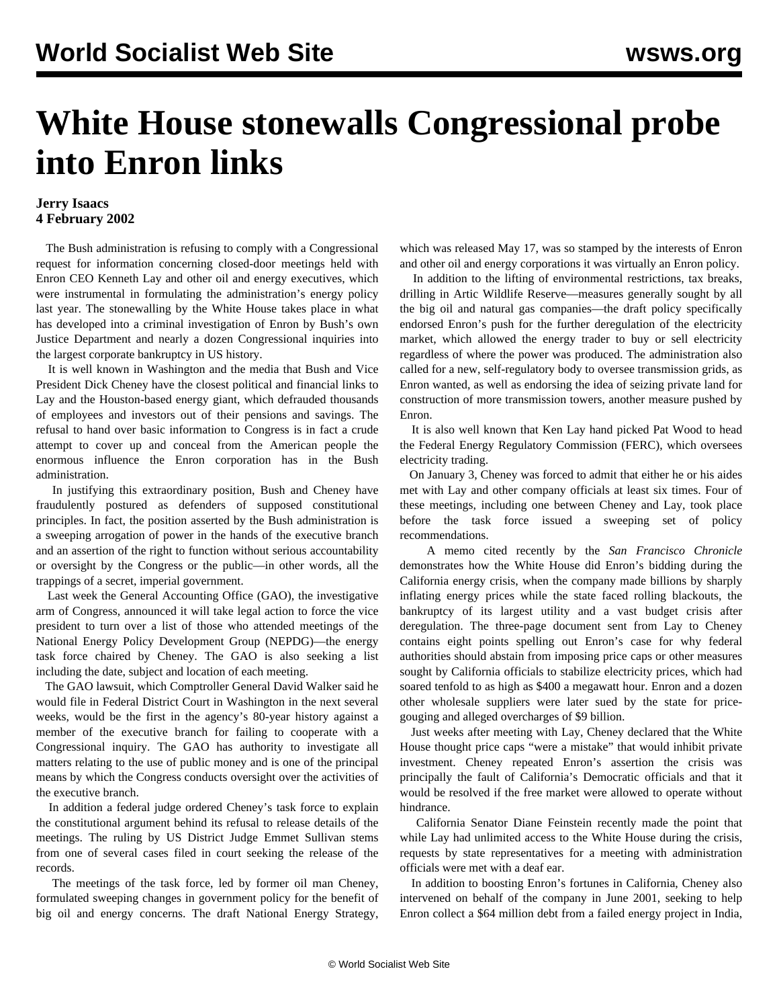## **White House stonewalls Congressional probe into Enron links**

## **Jerry Isaacs 4 February 2002**

 The Bush administration is refusing to comply with a Congressional request for information concerning closed-door meetings held with Enron CEO Kenneth Lay and other oil and energy executives, which were instrumental in formulating the administration's energy policy last year. The stonewalling by the White House takes place in what has developed into a criminal investigation of Enron by Bush's own Justice Department and nearly a dozen Congressional inquiries into the largest corporate bankruptcy in US history.

 It is well known in Washington and the media that Bush and Vice President Dick Cheney have the closest political and financial links to Lay and the Houston-based energy giant, which defrauded thousands of employees and investors out of their pensions and savings. The refusal to hand over basic information to Congress is in fact a crude attempt to cover up and conceal from the American people the enormous influence the Enron corporation has in the Bush administration.

 In justifying this extraordinary position, Bush and Cheney have fraudulently postured as defenders of supposed constitutional principles. In fact, the position asserted by the Bush administration is a sweeping arrogation of power in the hands of the executive branch and an assertion of the right to function without serious accountability or oversight by the Congress or the public—in other words, all the trappings of a secret, imperial government.

 Last week the General Accounting Office (GAO), the investigative arm of Congress, announced it will take legal action to force the vice president to turn over a list of those who attended meetings of the National Energy Policy Development Group (NEPDG)—the energy task force chaired by Cheney. The GAO is also seeking a list including the date, subject and location of each meeting.

 The GAO lawsuit, which Comptroller General David Walker said he would file in Federal District Court in Washington in the next several weeks, would be the first in the agency's 80-year history against a member of the executive branch for failing to cooperate with a Congressional inquiry. The GAO has authority to investigate all matters relating to the use of public money and is one of the principal means by which the Congress conducts oversight over the activities of the executive branch.

 In addition a federal judge ordered Cheney's task force to explain the constitutional argument behind its refusal to release details of the meetings. The ruling by US District Judge Emmet Sullivan stems from one of several cases filed in court seeking the release of the records.

 The meetings of the task force, led by former oil man Cheney, formulated sweeping changes in government policy for the benefit of big oil and energy concerns. The draft National Energy Strategy, which was released May 17, was so stamped by the interests of Enron and other oil and energy corporations it was virtually an Enron policy.

 In addition to the lifting of environmental restrictions, tax breaks, drilling in Artic Wildlife Reserve—measures generally sought by all the big oil and natural gas companies—the draft policy specifically endorsed Enron's push for the further deregulation of the electricity market, which allowed the energy trader to buy or sell electricity regardless of where the power was produced. The administration also called for a new, self-regulatory body to oversee transmission grids, as Enron wanted, as well as endorsing the idea of seizing private land for construction of more transmission towers, another measure pushed by Enron.

 It is also well known that Ken Lay hand picked Pat Wood to head the Federal Energy Regulatory Commission (FERC), which oversees electricity trading.

 On January 3, Cheney was forced to admit that either he or his aides met with Lay and other company officials at least six times. Four of these meetings, including one between Cheney and Lay, took place before the task force issued a sweeping set of policy recommendations.

 A memo cited recently by the *San Francisco Chronicle* demonstrates how the White House did Enron's bidding during the California energy crisis, when the company made billions by sharply inflating energy prices while the state faced rolling blackouts, the bankruptcy of its largest utility and a vast budget crisis after deregulation. The three-page document sent from Lay to Cheney contains eight points spelling out Enron's case for why federal authorities should abstain from imposing price caps or other measures sought by California officials to stabilize electricity prices, which had soared tenfold to as high as \$400 a megawatt hour. Enron and a dozen other wholesale suppliers were later sued by the state for pricegouging and alleged overcharges of \$9 billion.

 Just weeks after meeting with Lay, Cheney declared that the White House thought price caps "were a mistake" that would inhibit private investment. Cheney repeated Enron's assertion the crisis was principally the fault of California's Democratic officials and that it would be resolved if the free market were allowed to operate without hindrance.

 California Senator Diane Feinstein recently made the point that while Lay had unlimited access to the White House during the crisis, requests by state representatives for a meeting with administration officials were met with a deaf ear.

 In addition to boosting Enron's fortunes in California, Cheney also intervened on behalf of the company in June 2001, seeking to help Enron collect a \$64 million debt from a failed energy project in India,